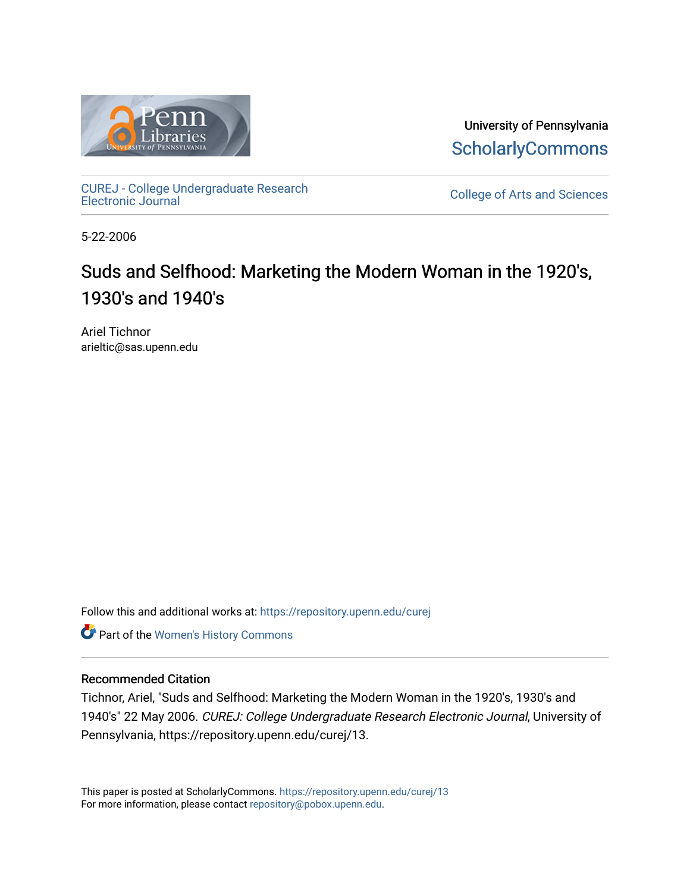

University of Pennsylvania **ScholarlyCommons** 

[CUREJ - College Undergraduate Research](https://repository.upenn.edu/curej) 

College of Arts and Sciences

5-22-2006

# Suds and Selfhood: Marketing the Modern Woman in the 1920's, 1930's and 1940's

Ariel Tichnor arieltic@sas.upenn.edu

Follow this and additional works at: [https://repository.upenn.edu/curej](https://repository.upenn.edu/curej?utm_source=repository.upenn.edu%2Fcurej%2F13&utm_medium=PDF&utm_campaign=PDFCoverPages)

Part of the [Women's History Commons](http://network.bepress.com/hgg/discipline/507?utm_source=repository.upenn.edu%2Fcurej%2F13&utm_medium=PDF&utm_campaign=PDFCoverPages)

#### Recommended Citation

Tichnor, Ariel, "Suds and Selfhood: Marketing the Modern Woman in the 1920's, 1930's and 1940's" 22 May 2006. CUREJ: College Undergraduate Research Electronic Journal, University of Pennsylvania, https://repository.upenn.edu/curej/13.

This paper is posted at ScholarlyCommons.<https://repository.upenn.edu/curej/13> For more information, please contact [repository@pobox.upenn.edu.](mailto:repository@pobox.upenn.edu)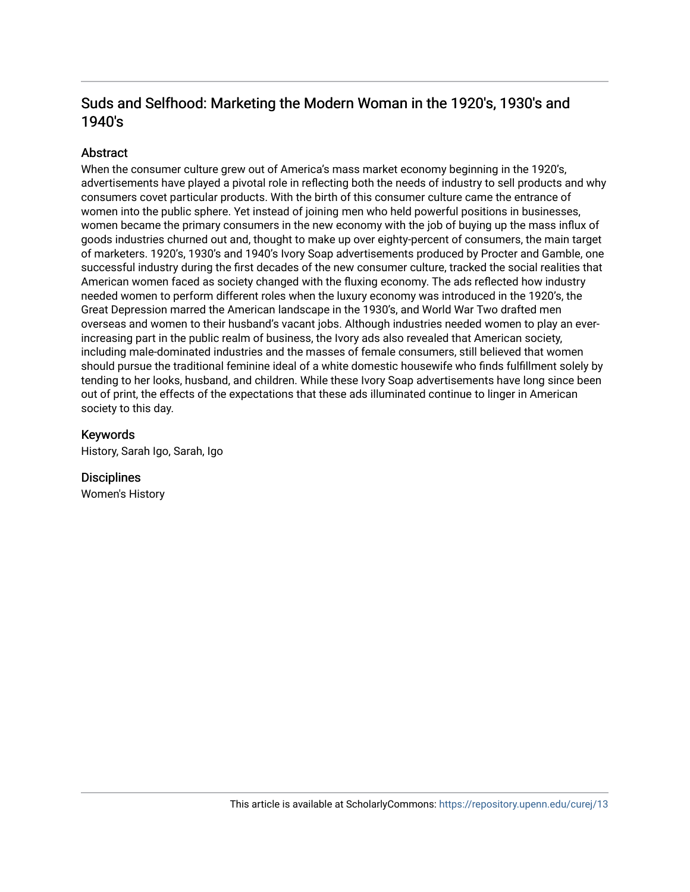# Suds and Selfhood: Marketing the Modern Woman in the 1920's, 1930's and 1940's

# Abstract

When the consumer culture grew out of America's mass market economy beginning in the 1920's, advertisements have played a pivotal role in reflecting both the needs of industry to sell products and why consumers covet particular products. With the birth of this consumer culture came the entrance of women into the public sphere. Yet instead of joining men who held powerful positions in businesses, women became the primary consumers in the new economy with the job of buying up the mass influx of goods industries churned out and, thought to make up over eighty-percent of consumers, the main target of marketers. 1920's, 1930's and 1940's Ivory Soap advertisements produced by Procter and Gamble, one successful industry during the first decades of the new consumer culture, tracked the social realities that American women faced as society changed with the fluxing economy. The ads reflected how industry needed women to perform different roles when the luxury economy was introduced in the 1920's, the Great Depression marred the American landscape in the 1930's, and World War Two drafted men overseas and women to their husband's vacant jobs. Although industries needed women to play an everincreasing part in the public realm of business, the Ivory ads also revealed that American society, including male-dominated industries and the masses of female consumers, still believed that women should pursue the traditional feminine ideal of a white domestic housewife who finds fulfillment solely by tending to her looks, husband, and children. While these Ivory Soap advertisements have long since been out of print, the effects of the expectations that these ads illuminated continue to linger in American society to this day.

#### Keywords

History, Sarah Igo, Sarah, Igo

**Disciplines** Women's History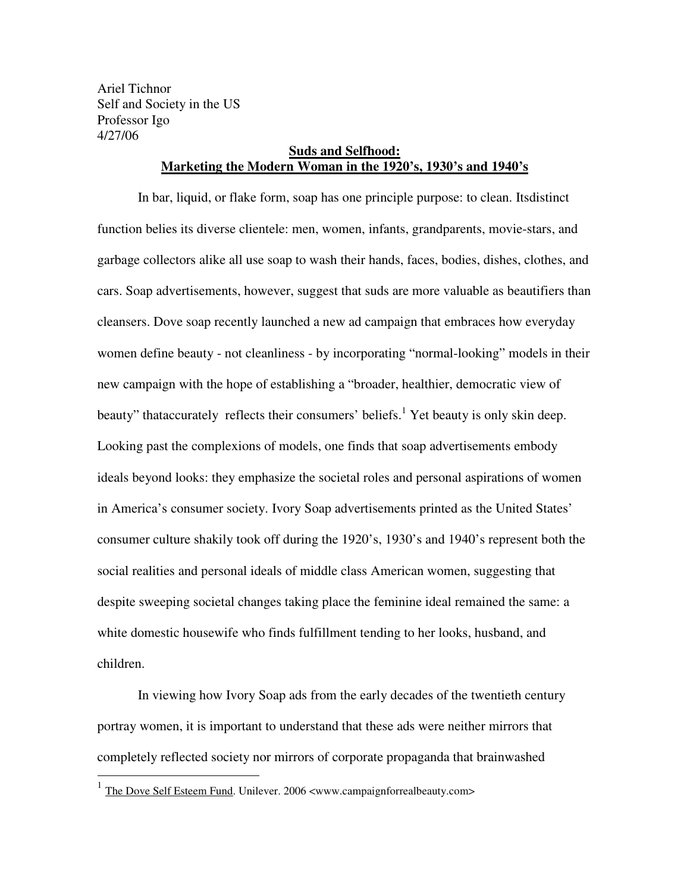Ariel Tichnor Self and Society in the US Professor Igo 4/27/06

## **Suds and Selfhood: Marketing the Modern Woman in the 1920's, 1930's and 1940's**

In bar, liquid, or flake form, soap has one principle purpose: to clean. Its distinct function belies its diverse clientele: men, women, infants, grandparents, movie-stars, and garbage collectors alike all use soap to wash their hands, faces, bodies, dishes, clothes, and cars. Soap advertisements, however, suggest that suds are more valuable as beautifiers than cleansers. Dove soap recently launched a new ad campaign that embraces how everyday women define beauty - not cleanliness - by incorporating "normal-looking" models in their new campaign with the hope of establishing a "broader, healthier, democratic view of beauty" that accurately reflects their consumers' beliefs.<sup>1</sup> Yet beauty is only skin deep. Looking past the complexions of models, one finds that soap advertisements embody ideals beyond looks: they emphasize the societal roles and personal aspirations of women in America's consumer society. Ivory Soap advertisements printed as the United States' consumer culture shakily took off during the 1920's, 1930's and 1940's represent both the social realities and personal ideals of middle class American women, suggesting that despite sweeping societal changes taking place the feminine ideal remained the same: a white domestic housewife who finds fulfillment tending to her looks, husband, and children.

In viewing how Ivory Soap ads from the early decades of the twentieth century portray women, it is important to understand that these ads were neither mirrors that completely reflected society nor mirrors of corporate propaganda that brainwashed

<sup>&</sup>lt;sup>1</sup> The Dove Self Esteem Fund. Unilever. 2006 <www.campaignforrealbeauty.com>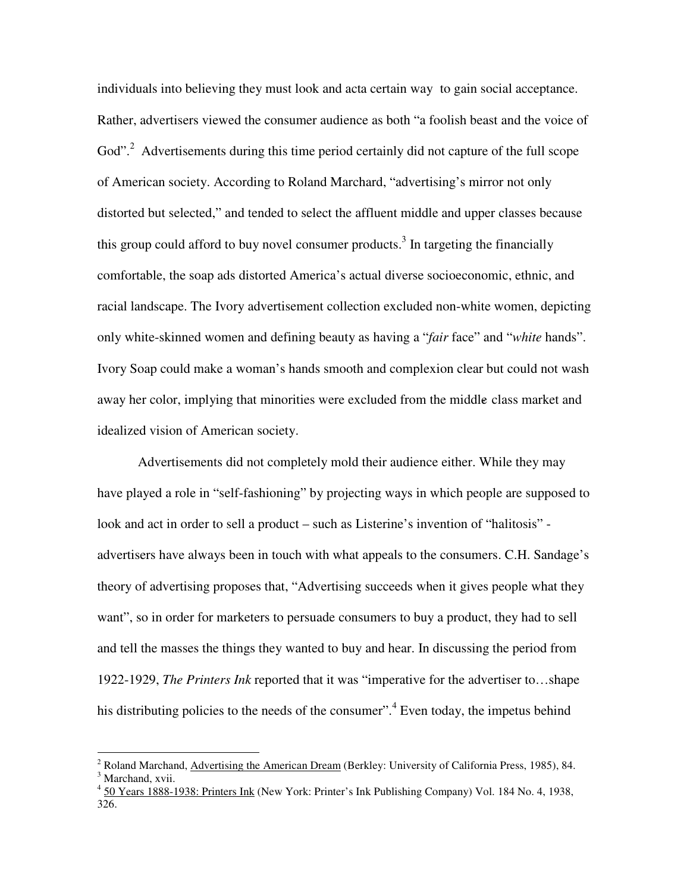individuals into believing they must look and act a certain way to gain social acceptance. Rather, advertisers viewed the consumer audience as both "a foolish beast and the voice of God".<sup>2</sup> Advertisements during this time period certainly did not capture of the full scope of American society. According to Roland Marchard, "advertising's mirror not only distorted but selected," and tended to select the affluent middle and upper classes because this group could afford to buy novel consumer products.<sup>3</sup> In targeting the financially comfortable, the soap ads distorted America's actual diverse socioeconomic, ethnic, and racial landscape. The Ivory advertisement collection excluded non-white women, depicting only white-skinned women and defining beauty as having a "*fair* face" and "*white* hands". Ivory Soap could make a woman's hands smooth and complexion clear but could not wash away her color, implying that minorities were excluded from the middle- class market and idealized vision of American society.

Advertisements did not completely mold their audience either. While they may have played a role in "self-fashioning" by projecting ways in which people are supposed to look and act in order to sell a product – such as Listerine's invention of "halitosis" advertisers have always been in touch with what appeals to the consumers. C.H. Sandage's theory of advertising proposes that, "Advertising succeeds when it gives people what they want", so in order for marketers to persuade consumers to buy a product, they had to sell and tell the masses the things they wanted to buy and hear. In discussing the period from 1922-1929, *The Printers Ink* reported that it was "imperative for the advertiser to…shape his distributing policies to the needs of the consumer".<sup>4</sup> Even today, the impetus behind

<sup>&</sup>lt;sup>2</sup> Roland Marchand, Advertising the American Dream (Berkley: University of California Press, 1985), 84.  $\frac{3 \text{ Marchand}}{2}$ <sup>3</sup> Marchand, xvii.

<sup>4</sup> 50 Years 1888-1938: Printers Ink (New York: Printer's Ink Publishing Company) Vol. 184 No. 4, 1938, 326.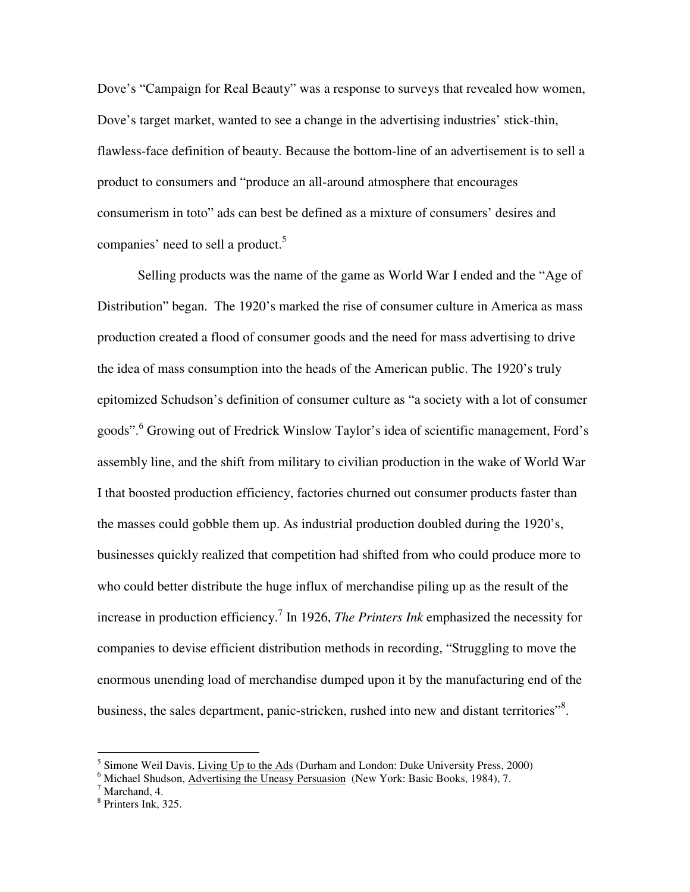Dove's "Campaign for Real Beauty" was a response to surveys that revealed how women, Dove's target market, wanted to see a change in the advertising industries' stick-thin, flawless-face definition of beauty. Because the bottom-line of an advertisement is to sell a product to consumers and "produce an all-around atmosphere that encourages consumerism in toto" ads can best be defined as a mixture of consumers' desires and companies' need to sell a product.<sup>5</sup>

Selling products was the name of the game as World War I ended and the "Age of Distribution" began. The 1920's marked the rise of consumer culture in America as mass production created a flood of consumer goods and the need for mass advertising to drive the idea of mass consumption into the heads of the American public. The 1920's truly epitomized Schudson's definition of consumer culture as "a society with a lot of consumer goods". 6 Growing out of Fredrick Winslow Taylor's idea of scientific management, Ford's assembly line, and the shift from military to civilian production in the wake of World War I that boosted production efficiency, factories churned out consumer products faster than the masses could gobble them up. As industrial production doubled during the 1920's, businesses quickly realized that competition had shifted from who could produce more to who could better distribute the huge influx of merchandise piling up as the result of the increase in production efficiency.<sup>7</sup> In 1926, *The Printers Ink* emphasized the necessity for companies to devise efficient distribution methods in recording, "Struggling to move the enormous unending load of merchandise dumped upon it by the manufacturing end of the business, the sales department, panic-stricken, rushed into new and distant territories"<sup>8</sup>.

<sup>&</sup>lt;sup>5</sup> Simone Weil Davis, Living Up to the Ads (Durham and London: Duke University Press, 2000)

<sup>&</sup>lt;sup>6</sup> Michael Shudson, <u>Advertising the Uneasy Persuasion</u> (New York: Basic Books, 1984), 7.<br><sup>7</sup> Marshand 4.

 $7$  Marchand, 4.

<sup>8</sup> Printers Ink, 325.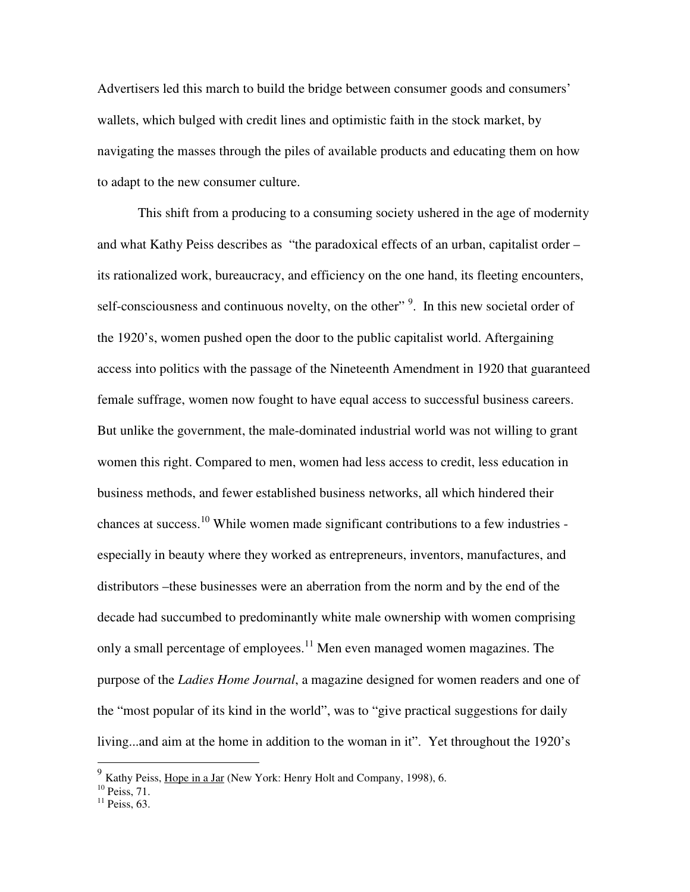Advertisers led this march to build the bridge between consumer goods and consumers' wallets, which bulged with credit lines and optimistic faith in the stock market, by navigating the masses through the piles of available products and educating them on how to adapt to the new consumer culture.

This shift from a producing to a consuming society ushered in the age of modernity and what Kathy Peiss describes as "the paradoxical effects of an urban, capitalist order – its rationalized work, bureaucracy, and efficiency on the one hand, its fleeting encounters, self-consciousness and continuous novelty, on the other"<sup>9</sup>. In this new societal order of the 1920's, women pushed open the door to the public capitalist world. Aftergaining access into politics with the passage of the Nineteenth Amendment in 1920 that guaranteed female suffrage, women now fought to have equal access to successful business careers. But unlike the government, the male-dominated industrial world was not willing to grant women this right. Compared to men, women had less access to credit, less education in business methods, and fewer established business networks, all which hindered their chances at success.10 While women made significant contributions to a few industries especially in beauty where they worked as entrepreneurs, inventors, manufactures, and distributors –these businesses were an aberration from the norm and by the end of the decade had succumbed to predominantly white male ownership with women comprising only a small percentage of employees.<sup>11</sup> Men even managed women magazines. The purpose of the *Ladies Home Journal*, a magazine designed for women readers and one of the "most popular of its kind in the world", was to "give practical suggestions for daily living...and aim at the home in addition to the woman in it". Yet throughout the 1920's

 $9\text{ Kathy Peiss, Hope in a Jar}$  (New York: Henry Holt and Company, 1998), 6.

 $10$  Peiss, 71.

 $11$  Peiss, 63.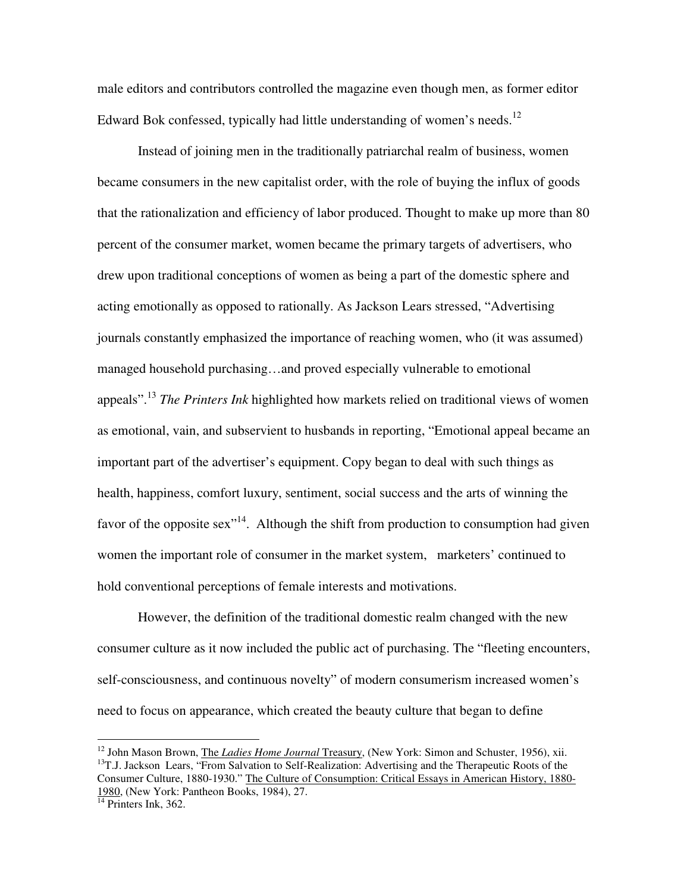male editors and contributors controlled the magazine even though men, as former editor Edward Bok confessed, typically had little understanding of women's needs.<sup>12</sup>

Instead of joining men in the traditionally patriarchal realm of business, women became consumers in the new capitalist order, with the role of buying the influx of goods that the rationalization and efficiency of labor produced. Thought to make up more than 80 percent of the consumer market, women became the primary targets of advertisers, who drew upon traditional conceptions of women as being a part of the domestic sphere and acting emotionally as opposed to rationally. As Jackson Lears stressed, "Advertising journals constantly emphasized the importance of reaching women, who (it was assumed) managed household purchasing…and proved especially vulnerable to emotional appeals". <sup>13</sup> *The Printers Ink* highlighted how markets relied on traditional views of women as emotional, vain, and subservient to husbands in reporting, "Emotional appeal became an important part of the advertiser's equipment. Copy began to deal with such things as health, happiness, comfort luxury, sentiment, social success and the arts of winning the favor of the opposite sex<sup> $14$ </sup>. Although the shift from production to consumption had given women the important role of consumer in the market system, marketers' continued to hold conventional perceptions of female interests and motivations.

However, the definition of the traditional domestic realm changed with the new consumer culture as it now included the public act of purchasing. The "fleeting encounters, self-consciousness, and continuous novelty" of modern consumerism increased women's need to focus on appearance, which created the beauty culture that began to define

<sup>&</sup>lt;sup>12</sup> John Mason Brown, <u>The *Ladies Home Journal* Treasury</u>, (New York: Simon and Schuster, 1956), xii.<br><sup>13</sup>T.J. Jackson Lears, "From Salvation to Self-Realization: Advertising and the Therapeutic Roots of the Consumer Culture, 1880-1930." The Culture of Consumption: Critical Essays in American History, 1880- 1980, (New York: Pantheon Books, 1984), 27. 14 Printers Ink, 362.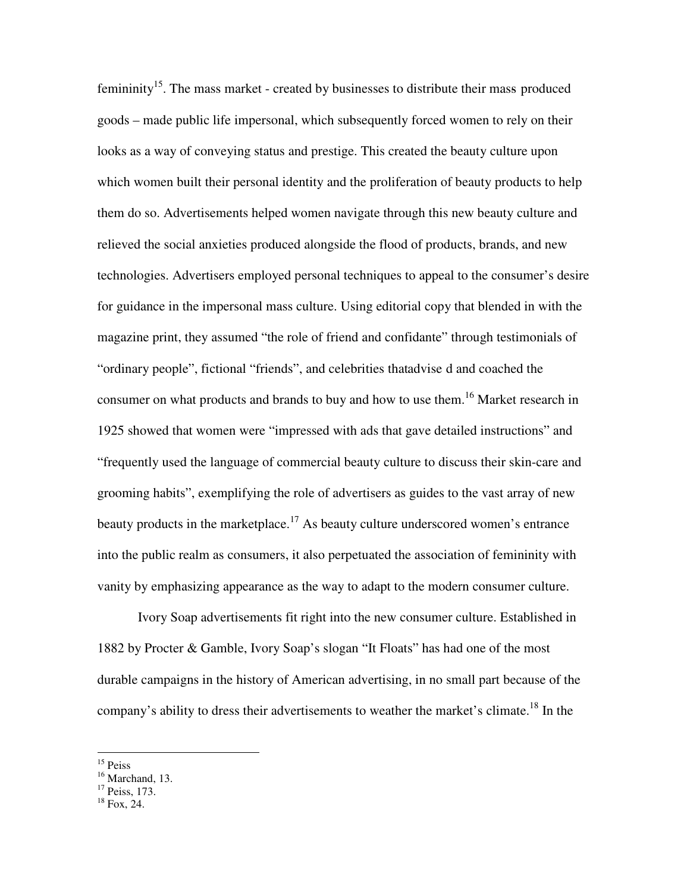femininity<sup>15</sup>. The mass market - created by businesses to distribute their mass-produced goods – made public life impersonal, which subsequently forced women to rely on their looks as a way of conveying status and prestige. This created the beauty culture upon which women built their personal identity and the proliferation of beauty products to help them do so. Advertisements helped women navigate through this new beauty culture and relieved the social anxieties produced alongside the flood of products, brands, and new technologies. Advertisers employed personal techniques to appeal to the consumer's desire for guidance in the impersonal mass culture. Using editorial copy that blended in with the magazine print, they assumed "the role of friend and confidante" through testimonials of "ordinary people", fictional "friends", and celebrities that advise d and coached the consumer on what products and brands to buy and how to use them.<sup>16</sup> Market research in 1925 showed that women were "impressed with ads that gave detailed instructions" and "frequently used the language of commercial beauty culture to discuss their skin-care and grooming habits", exemplifying the role of advertisers as guides to the vast array of new beauty products in the marketplace.<sup>17</sup> As beauty culture underscored women's entrance into the public realm as consumers, it also perpetuated the association of femininity with vanity by emphasizing appearance as the way to adapt to the modern consumer culture.

Ivory Soap advertisements fit right into the new consumer culture. Established in 1882 by Procter & Gamble, Ivory Soap's slogan "It Floats" has had one of the most durable campaigns in the history of American advertising, in no small part because of the company's ability to dress their advertisements to weather the market's climate.<sup>18</sup> In the

<sup>&</sup>lt;sup>15</sup> Peiss

<sup>&</sup>lt;sup>16</sup> Marchand, 13.

 $17$  Peiss, 173.

<sup>18</sup> Fox, 24.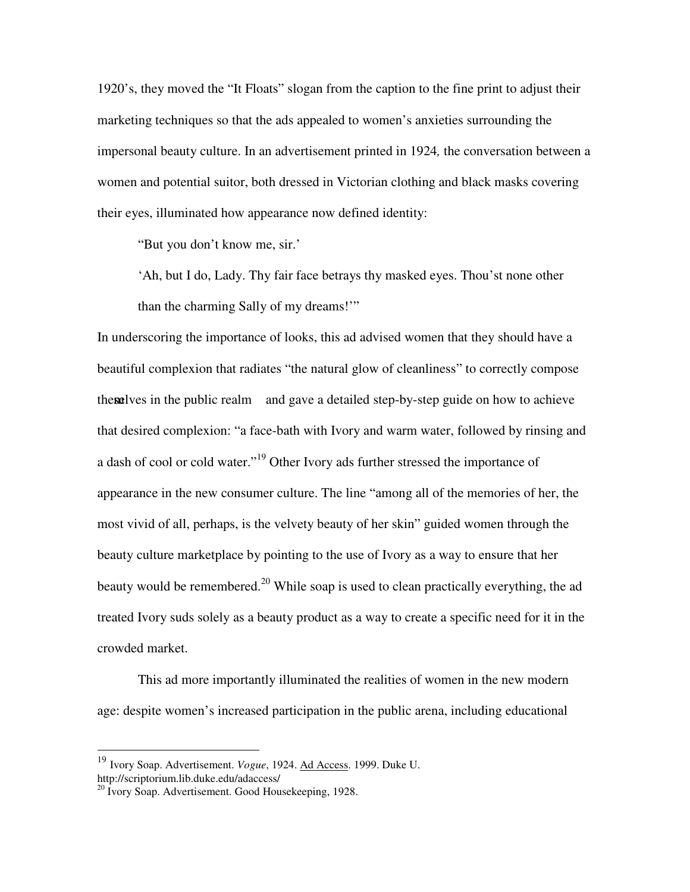1920's, they moved the "It Floats" slogan from the caption to the fine print to adjust their marketing techniques so that the ads appealed to women's anxieties surrounding the impersonal beauty culture. In an advertisement printed in 1924*,* the conversation between a women and potential suitor, both dressed in Victorian clothing and black masks covering their eyes, illuminated how appearance now defined identity:

"But you don't know me, sir.'

'Ah, but I do, Lady. Thy fair face betrays thy masked eyes. Thou'st none other than the charming Sally of my dreams!'"

In underscoring the importance of looks, this ad advised women that they should have a beautiful complexion that radiates "the natural glow of cleanliness" to correctly compose themselves in the public realm and gave a detailed step-by-step guide on how to achieve that desired complexion: "a face-bath with Ivory and warm water, followed by rinsing and a dash of cool or cold water."<sup>19</sup> Other Ivory ads further stressed the importance of appearance in the new consumer culture. The line "among all of the memories of her, the most vivid of all, perhaps, is the velvety beauty of her skin" guided women through the beauty culture marketplace by pointing to the use of Ivory as a way to ensure that her beauty would be remembered.<sup>20</sup> While soap is used to clean practically everything, the ad treated Ivory suds solely as a beauty product as a way to create a specific need for it in the crowded market.

This ad more importantly illuminated the realities of women in the new modern age: despite women's increased participation in the public arena, including educational

<sup>19</sup> Ivory Soap. Advertisement. *Vogue*, 1924. Ad Access. 1999. Duke U.

http://scriptorium.lib.duke.edu/adaccess/

<sup>&</sup>lt;sup>20</sup> Ivory Soap. Advertisement. Good Housekeeping, 1928.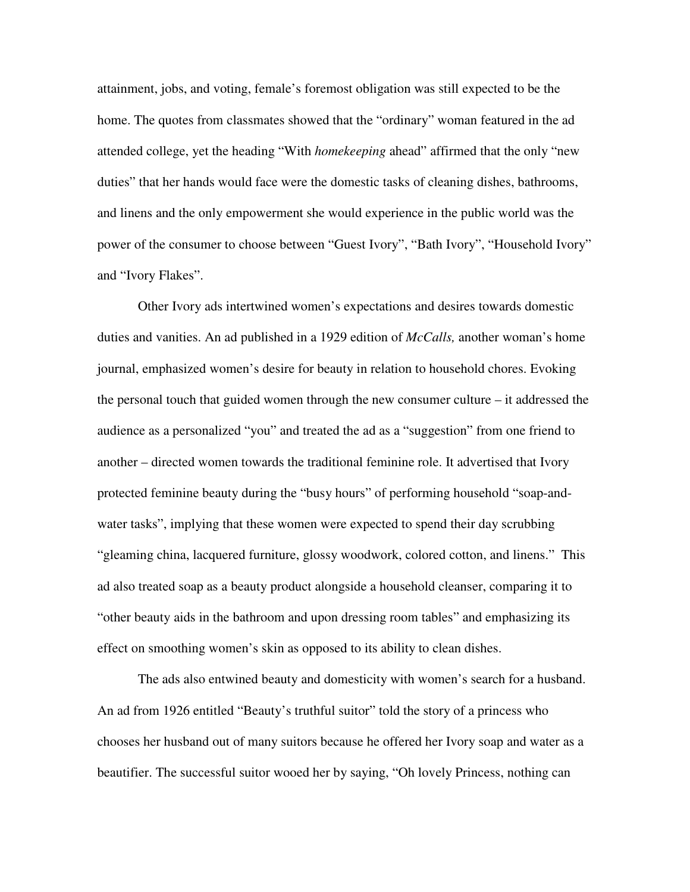attainment, jobs, and voting, female's foremost obligation was still expected to be the home. The quotes from classmates showed that the "ordinary" woman featured in the ad attended college, yet the heading "With *homekeeping* ahead" affirmed that the only "new duties" that her hands would face were the domestic tasks of cleaning dishes, bathrooms, and linens and the only empowerment she would experience in the public world was the power of the consumer to choose between "Guest Ivory", "Bath Ivory", "Household Ivory" and "Ivory Flakes".

Other Ivory ads intertwined women's expectations and desires towards domestic duties and vanities. An ad published in a 1929 edition of *McCalls,* another woman's home journal, emphasized women's desire for beauty in relation to household chores. Evoking the personal touch that guided women through the new consumer culture – it addressed the audience as a personalized "you" and treated the ad as a "suggestion" from one friend to another – directed women towards the traditional feminine role. It advertised that Ivory protected feminine beauty during the "busy hours" of performing household "soap-andwater tasks", implying that these women were expected to spend their day scrubbing "gleaming china, lacquered furniture, glossy woodwork, colored cotton, and linens." This ad also treated soap as a beauty product alongside a household cleanser, comparing it to "other beauty aids in the bathroom and upon dressing room tables" and emphasizing its effect on smoothing women's skin as opposed to its ability to clean dishes.

The ads also entwined beauty and domesticity with women's search for a husband. An ad from 1926 entitled "Beauty's truthful suitor" told the story of a princess who chooses her husband out of many suitors because he offered her Ivory soap and water as a beautifier. The successful suitor wooed her by saying, "Oh lovely Princess, nothing can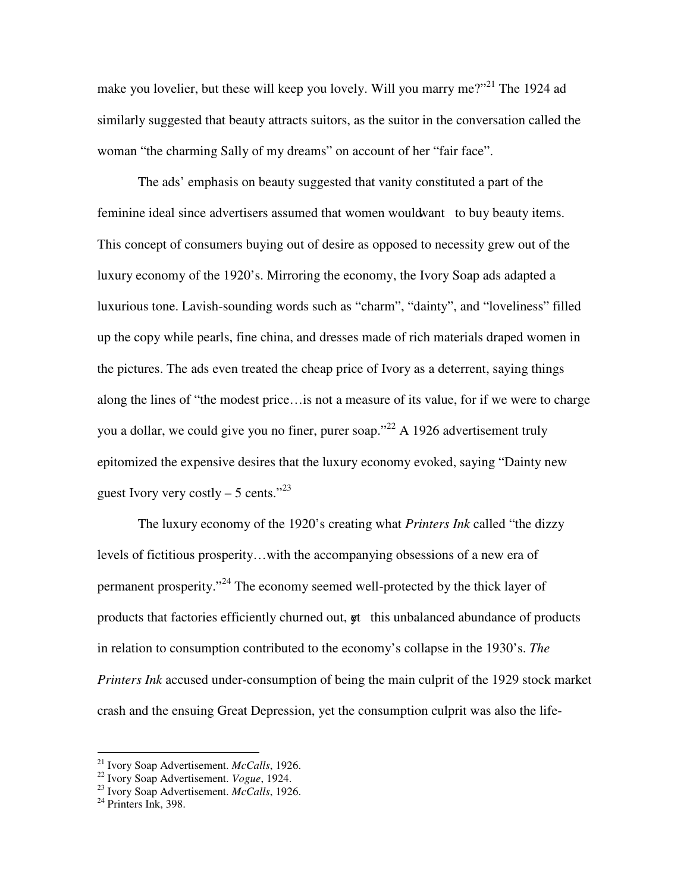make you lovelier, but these will keep you lovely. Will you marry me?"<sup>21</sup> The 1924 ad similarly suggested that beauty attracts suitors, as the suitor in the conversation called the woman "the charming Sally of my dreams" on account of her "fair face".

The ads' emphasis on beauty suggested that vanity constituted a part of the feminine ideal since advertisers assumed that women would want to buy beauty items. This concept of consumers buying out of desire as opposed to necessity grew out of the luxury economy of the 1920's. Mirroring the economy, the Ivory Soap ads adapted a luxurious tone. Lavish-sounding words such as "charm", "dainty", and "loveliness" filled up the copy while pearls, fine china, and dresses made of rich materials draped women in the pictures. The ads even treated the cheap price of Ivory as a deterrent, saying things along the lines of "the modest price…is not a measure of its value, for if we were to charge you a dollar, we could give you no finer, purer soap."<sup>22</sup> A 1926 advertisement truly epitomized the expensive desires that the luxury economy evoked, saying "Dainty new guest Ivory very costly  $-5$  cents."<sup>23</sup>

The luxury economy of the 1920's creating what *Printers Ink* called "the dizzy levels of fictitious prosperity…with the accompanying obsessions of a new era of permanent prosperity."24 The economy seemed well-protected by the thick layer of products that factories efficiently churned out,  $\phi$ t this unbalanced abundance of products in relation to consumption contributed to the economy's collapse in the 1930's. *The Printers Ink* accused under-consumption of being the main culprit of the 1929 stock market crash and the ensuing Great Depression, yet the consumption culprit was also the life-

<sup>&</sup>lt;sup>21</sup> Ivory Soap Advertisement. *McCalls*, 1926.<br><sup>22</sup> Ivory Soap Advertisement. *Vogue*, 1924.<br><sup>23</sup> Ivory Soap Advertisement. *McCalls*, 1926.<br><sup>24</sup> Printers Ink, 398.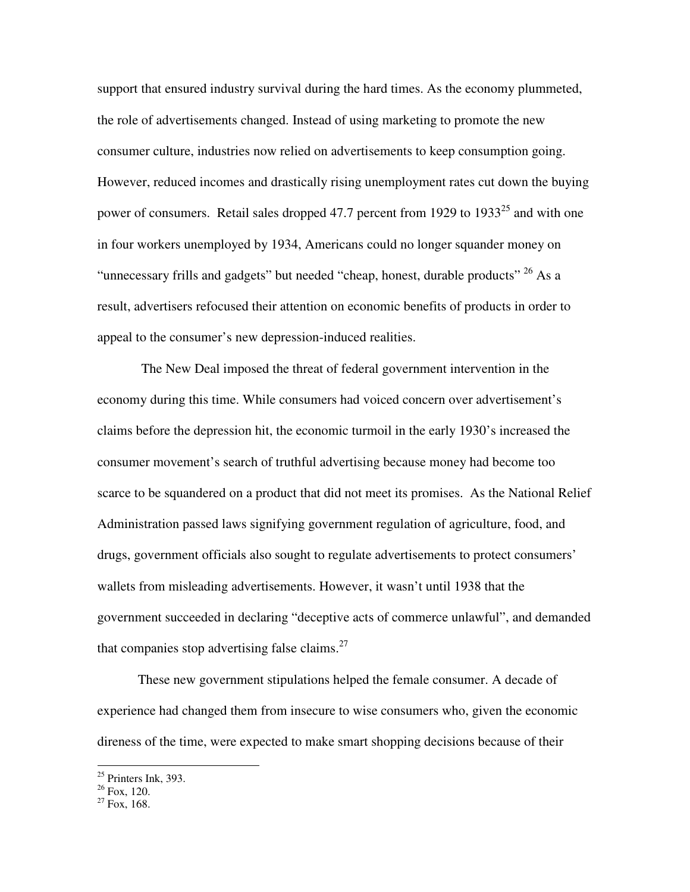support that ensured industry survival during the hard times. As the economy plummeted, the role of advertisements changed. Instead of using marketing to promote the new consumer culture, industries now relied on advertisements to keep consumption going. However, reduced incomes and drastically rising unemployment rates cut down the buying power of consumers. Retail sales dropped 47.7 percent from 1929 to  $1933^{25}$  and with one in four workers unemployed by 1934, Americans could no longer squander money on "unnecessary frills and gadgets" but needed "cheap, honest, durable products" <sup>26</sup> As a result, advertisers refocused their attention on economic benefits of products in order to appeal to the consumer's new depression-induced realities.

The New Deal imposed the threat of federal government intervention in the economy during this time. While consumers had voiced concern over advertisement's claims before the depression hit, the economic turmoil in the early 1930's increased the consumer movement's search of truthful advertising because money had become too scarce to be squandered on a product that did not meet its promises. As the National Relief Administration passed laws signifying government regulation of agriculture, food, and drugs, government officials also sought to regulate advertisements to protect consumers' wallets from misleading advertisements. However, it wasn't until 1938 that the government succeeded in declaring "deceptive acts of commerce unlawful", and demanded that companies stop advertising false claims. $27$ 

These new government stipulations helped the female consumer. A decade of experience had changed them from insecure to wise consumers who, given the economic direness of the time, were expected to make smart shopping decisions because of their

 $25$  Printers Ink, 393.

 $26$  Fox, 120.

 $27 \text{ Fox}, 168.$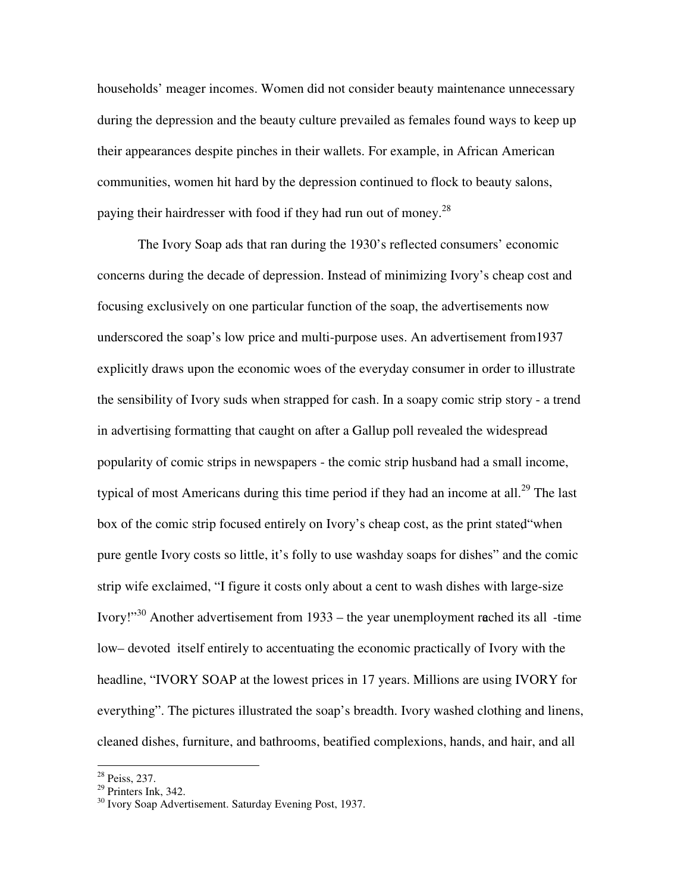households' meager incomes. Women did not consider beauty maintenance unnecessary during the depression and the beauty culture prevailed as females found ways to keep up their appearances despite pinches in their wallets. For example, in African American communities, women hit hard by the depression continued to flock to beauty salons, paying their hairdresser with food if they had run out of money.<sup>28</sup>

The Ivory Soap ads that ran during the 1930's reflected consumers' economic concerns during the decade of depression. Instead of minimizing Ivory's cheap cost and focusing exclusively on one particular function of the soap, the advertisements now underscored the soap's low price and multi-purpose uses. An advertisement from1937 explicitly draws upon the economic woes of the everyday consumer in order to illustrate the sensibility of Ivory suds when strapped for cash. In a soapy comic strip story - a trend in advertising formatting that caught on after a Gallup poll revealed the widespread popularity of comic strips in newspapers - the comic strip husband had a small income, typical of most Americans during this time period if they had an income at all.<sup>29</sup> The last box of the comic strip focused entirely on Ivory's cheap cost, as the print stated "when pure gentle Ivory costs so little, it's folly to use washday soaps for dishes" and the comic strip wife exclaimed, "I figure it costs only about a cent to wash dishes with large-size Ivory!"<sup>30</sup> Another advertisement from  $1933$  – the year unemployment reched its all -time low – devoted itself entirely to accentuating the economic practically of Ivory with the headline, "IVORY SOAP at the lowest prices in 17 years. Millions are using IVORY for everything". The pictures illustrated the soap's breadth. Ivory washed clothing and linens, cleaned dishes, furniture, and bathrooms, beatified complexions, hands, and hair, and all

<sup>&</sup>lt;sup>28</sup> Peiss, 237.

 $29$  Printers Ink, 342.

<sup>&</sup>lt;sup>30</sup> Ivory Soap Advertisement. Saturday Evening Post, 1937.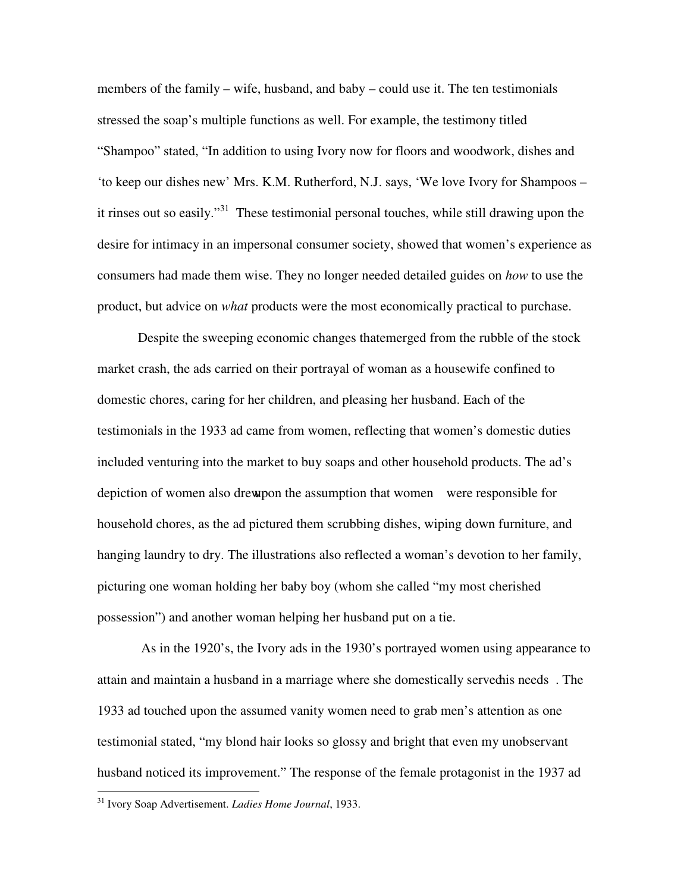members of the family – wife, husband, and baby – could use it. The ten testimonials stressed the soap's multiple functions as well. For example, the testimony titled "Shampoo" stated, "In addition to using Ivory now for floors and woodwork, dishes and 'to keep our dishes new' Mrs. K.M. Rutherford, N.J. says, 'We love Ivory for Shampoos – it rinses out so easily."<sup>31</sup> These testimonial personal touches, while still drawing upon the desire for intimacy in an impersonal consumer society, showed that women's experience as consumers had made them wise. They no longer needed detailed guides on *how* to use the product, but advice on *what* products were the most economically practical to purchase.

Despite the sweeping economic changes that emerged from the rubble of the stock market crash, the ads carried on their portrayal of woman as a housewife confined to domestic chores, caring for her children, and pleasing her husband. Each of the testimonials in the 1933 ad came from women, reflecting that women's domestic duties included venturing into the market to buy soaps and other household products. The ad's depiction of women also drew pon the assumption that women were responsible for household chores, as the ad pictured them scrubbing dishes, wiping down furniture, and hanging laundry to dry. The illustrations also reflected a woman's devotion to her family, picturing one woman holding her baby boy (whom she called "my most cherished possession") and another woman helping her husband put on a tie.

As in the 1920's, the Ivory ads in the 1930's portrayed women using appearance to attain and maintain a husband in a marriage where she domestically served his needs. The 1933 ad touched upon the assumed vanity women need to grab men's attention as one testimonial stated, "my blond hair looks so glossy and bright that even my unobservant husband noticed its improvement." The response of the female protagonist in the 1937 ad

<sup>31</sup> Ivory Soap Advertisement. *Ladies Home Journal*, 1933.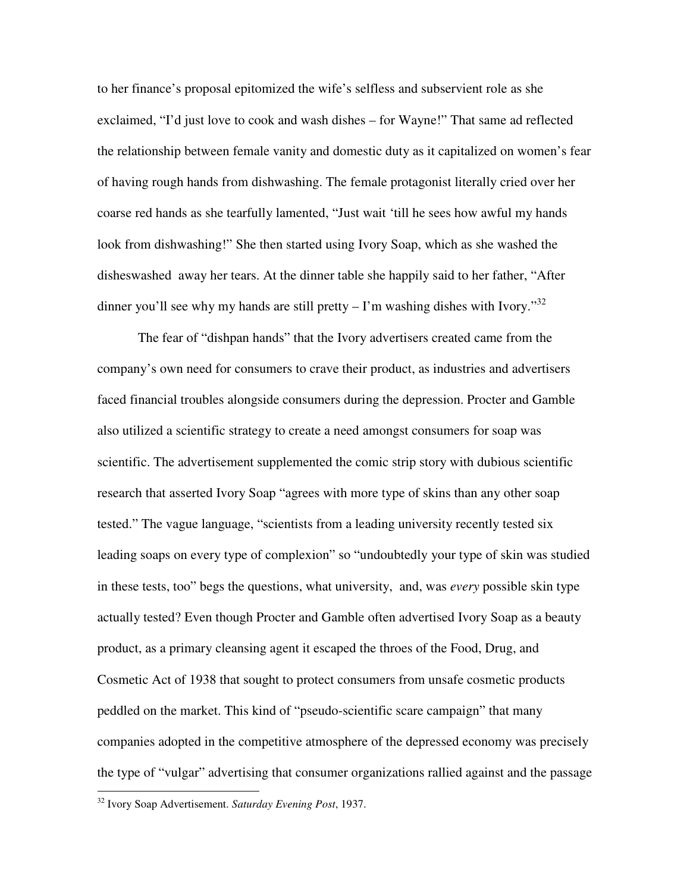to her finance's proposal epitomized the wife's selfless and subservient role as she exclaimed, "I'd just love to cook and wash dishes – for Wayne!" That same ad reflected the relationship between female vanity and domestic duty as it capitalized on women's fear of having rough hands from dishwashing. The female protagonist literally cried over her coarse red hands as she tearfully lamented, "Just wait 'till he sees how awful my hands look from dishwashing!" She then started using Ivory Soap, which as she washed the dishes washed away her tears. At the dinner table she happily said to her father, "After dinner you'll see why my hands are still pretty  $-1$ 'm washing dishes with Ivory.<sup>32</sup>

The fear of "dishpan hands" that the Ivory advertisers created came from the company's own need for consumers to crave their product, as industries and advertisers faced financial troubles alongside consumers during the depression. Procter and Gamble also utilized a scientific strategy to create a need amongst consumers for soap was scientific. The advertisement supplemented the comic strip story with dubious scientific research that asserted Ivory Soap "agrees with more type of skins than any other soap tested." The vague language, "scientists from a leading university recently tested six leading soaps on every type of complexion" so "undoubtedly your type of skin was studied in these tests, too" begs the questions, what university, and, was *every* possible skin type actually tested? Even though Procter and Gamble often advertised Ivory Soap as a beauty product, as a primary cleansing agent it escaped the throes of the Food, Drug, and Cosmetic Act of 1938 that sought to protect consumers from unsafe cosmetic products peddled on the market. This kind of "pseudo-scientific scare campaign" that many companies adopted in the competitive atmosphere of the depressed economy was precisely the type of "vulgar" advertising that consumer organizations rallied against and the passage

<sup>32</sup> Ivory Soap Advertisement. *Saturday Evening Post*, 1937.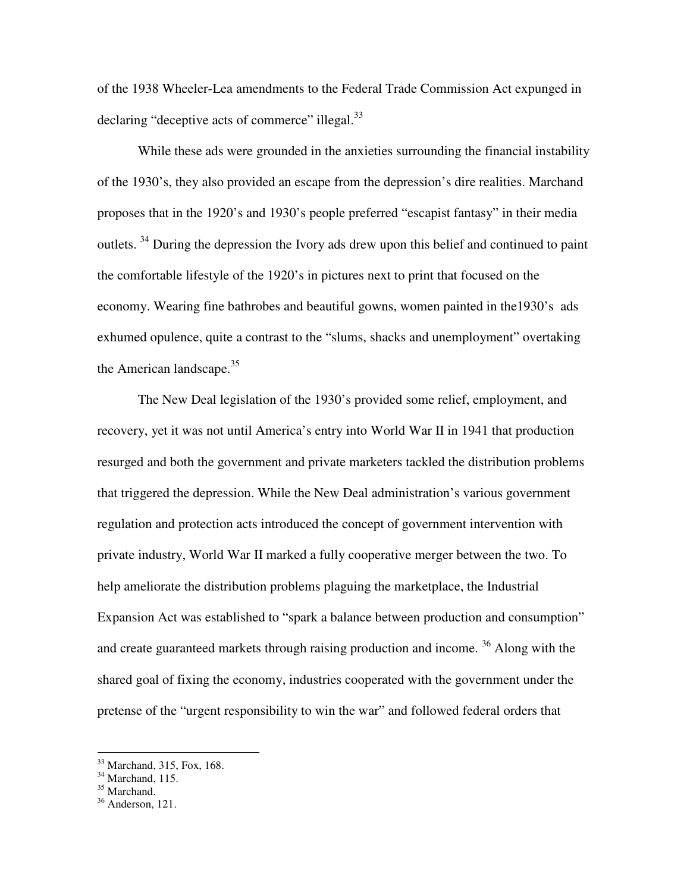of the 1938 Wheeler-Lea amendments to the Federal Trade Commission Act expunged in declaring "deceptive acts of commerce" illegal.<sup>33</sup>

While these ads were grounded in the anxieties surrounding the financial instability of the 1930's, they also provided an escape from the depression's dire realities. Marchand proposes that in the 1920's and 1930's people preferred "escapist fantasy" in their media outlets. 34 During the depression the Ivory ads drew upon this belief and continued to paint the comfortable lifestyle of the 1920's in pictures next to print that focused on the economy. Wearing fine bathrobes and beautiful gowns, women painted in the 1930's ads exhumed opulence, quite a contrast to the "slums, shacks and unemployment" overtaking the American landscape. $35$ 

The New Deal legislation of the 1930's provided some relief, employment, and recovery, yet it was not until America's entry into World War II in 1941 that production resurged and both the government and private marketers tackled the distribution problems that triggered the depression. While the New Deal administration's various government regulation and protection acts introduced the concept of government intervention with private industry, World War II marked a fully cooperative merger between the two. To help ameliorate the distribution problems plaguing the marketplace, the Industrial Expansion Act was established to "spark a balance between production and consumption" and create guaranteed markets through raising production and income. 36 Along with the shared goal of fixing the economy, industries cooperated with the government under the pretense of the "urgent responsibility to win the war" and followed federal orders that

<sup>33</sup> Marchand, 315, Fox, 168.

 $34$  Marchand, 115.

<sup>&</sup>lt;sup>35</sup> Marchand.

 $36$  Anderson, 121.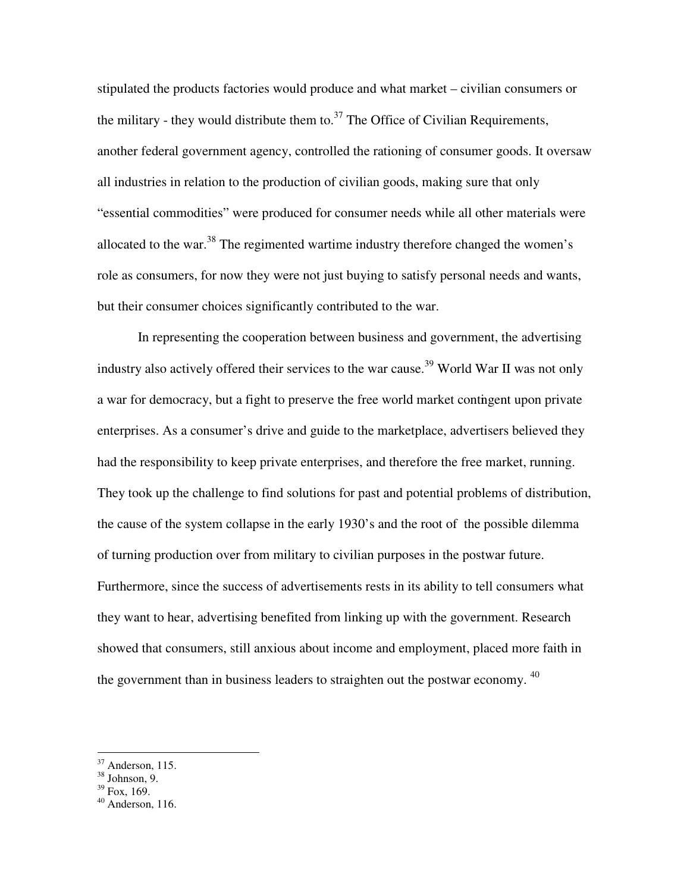stipulated the products factories would produce and what market – civilian consumers or the military - they would distribute them to.<sup>37</sup> The Office of Civilian Requirements, another federal government agency, controlled the rationing of consumer goods. It oversaw all industries in relation to the production of civilian goods, making sure that only "essential commodities" were produced for consumer needs while all other materials were allocated to the war.<sup>38</sup> The regimented wartime industry therefore changed the women's role as consumers, for now they were not just buying to satisfy personal needs and wants, but their consumer choices significantly contributed to the war.

In representing the cooperation between business and government, the advertising industry also actively offered their services to the war cause.<sup>39</sup> World War II was not only a war for democracy, but a fight to preserve the free world market contingent upon private enterprises. As a consumer's drive and guide to the marketplace, advertisers believed they had the responsibility to keep private enterprises, and therefore the free market, running. They took up the challenge to find solutions for past and potential problems of distribution, the cause of the system collapse in the early 1930's and the root of the possible dilemma of turning production over from military to civilian purposes in the postwar future. Furthermore, since the success of advertisements rests in its ability to tell consumers what they want to hear, advertising benefited from linking up with the government. Research showed that consumers, still anxious about income and employment, placed more faith in the government than in business leaders to straighten out the postwar economy. <sup>40</sup>

 $39$  Fox, 169.

 $37$  Anderson, 115.

<sup>38</sup> Johnson, 9.

 $40$  Anderson, 116.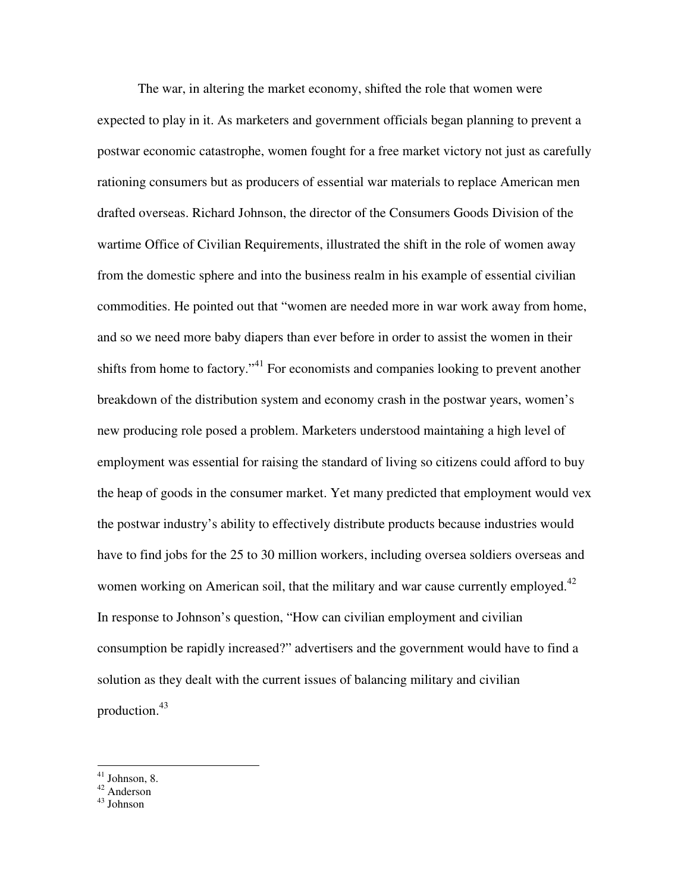The war, in altering the market economy, shifted the role that women were expected to play in it. As marketers and government officials began planning to prevent a postwar economic catastrophe, women fought for a free market victory not just as carefully rationing consumers but as producers of essential war materials to replace American men drafted overseas. Richard Johnson, the director of the Consumers Goods Division of the wartime Office of Civilian Requirements, illustrated the shift in the role of women away from the domestic sphere and into the business realm in his example of essential civilian commodities. He pointed out that "women are needed more in war work away from home, and so we need more baby diapers than ever before in order to assist the women in their shifts from home to factory."<sup>41</sup> For economists and companies looking to prevent another breakdown of the distribution system and economy crash in the postwar years, women's new producing role posed a problem. Marketers understood maintaining a high level of employment was essential for raising the standard of living so citizens could afford to buy the heap of goods in the consumer market. Yet many predicted that employment would vex the postwar industry's ability to effectively distribute products because industries would have to find jobs for the 25 to 30 million workers, including oversea soldiers overseas and women working on American soil, that the military and war cause currently employed.<sup>42</sup> In response to Johnson's question, "How can civilian employment and civilian consumption be rapidly increased?" advertisers and the government would have to find a solution as they dealt with the current issues of balancing military and civilian production. 43

 $41$  Johnson, 8.

<sup>&</sup>lt;sup>42</sup> Anderson

<sup>43</sup> Johnson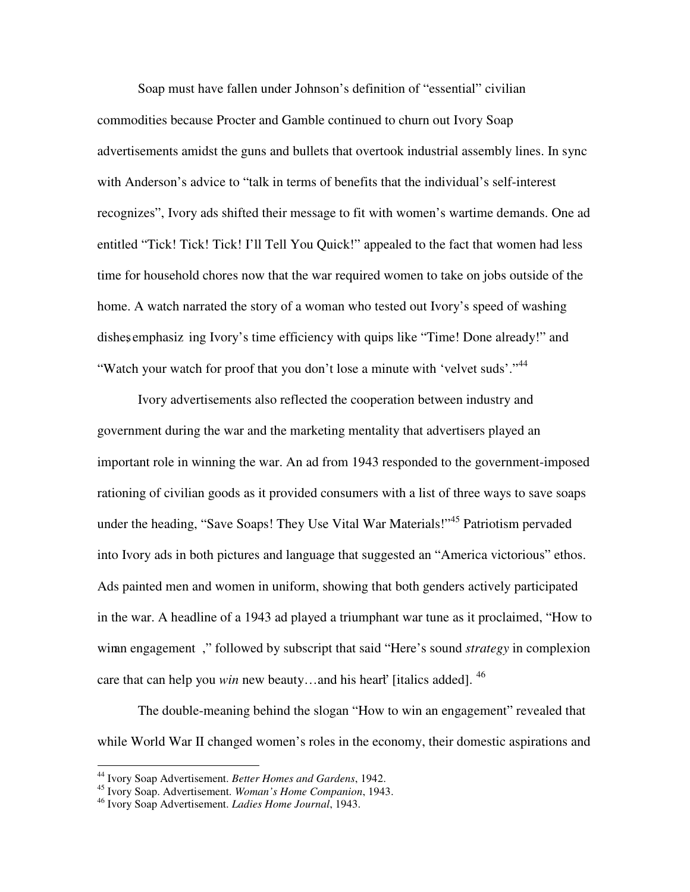Soap must have fallen under Johnson's definition of "essential" civilian commodities because Procter and Gamble continued to churn out Ivory Soap advertisements amidst the guns and bullets that overtook industrial assembly lines. In sync with Anderson's advice to "talk in terms of benefits that the individual's self-interest recognizes", Ivory ads shifted their message to fit with women's wartime demands. One ad entitled "Tick! Tick! Tick! I'll Tell You Quick!" appealed to the fact that women had less time for household chores now that the war required women to take on jobs outside of the home. A watch narrated the story of a woman who tested out Ivory's speed of washing dishes emphasiz ing Ivory's time efficiency with quips like "Time! Done already!" and "Watch your watch for proof that you don't lose a minute with 'velvet suds'."<sup>44</sup>

Ivory advertisements also reflected the cooperation between industry and government during the war and the marketing mentality that advertisers played an important role in winning the war. An ad from 1943 responded to the government-imposed rationing of civilian goods as it provided consumers with a list of three ways to save soaps under the heading, "Save Soaps! They Use Vital War Materials!"<sup>45</sup> Patriotism pervaded into Ivory ads in both pictures and language that suggested an "America victorious" ethos. Ads painted men and women in uniform, showing that both genders actively participated in the war. A headline of a 1943 ad played a triumphant war tune as it proclaimed, "How to win engagement, " followed by subscript that said "Here's sound *strategy* in complexion care that can help you *win* new beauty...and his heart' [italics added].<sup>46</sup>

The double-meaning behind the slogan "How to win an engagement" revealed that while World War II changed women's roles in the economy, their domestic aspirations and

<sup>44</sup> Ivory Soap Advertisement. *Better Homes and Gardens*, 1942.

<sup>45</sup> Ivory Soap. Advertisement. *Woman's Home Companion*, 1943.

<sup>46</sup> Ivory Soap Advertisement. *Ladies Home Journal*, 1943.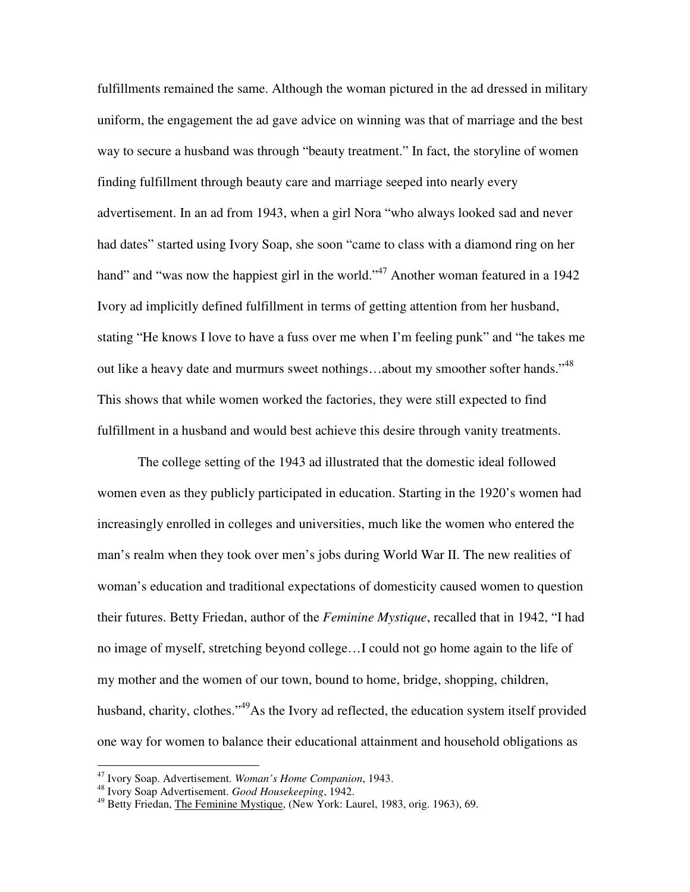fulfillments remained the same. Although the woman pictured in the ad dressed in military uniform, the engagement the ad gave advice on winning was that of marriage and the best way to secure a husband was through "beauty treatment." In fact, the storyline of women finding fulfillment through beauty care and marriage seeped into nearly every advertisement. In an ad from 1943, when a girl Nora "who always looked sad and never had dates" started using Ivory Soap, she soon "came to class with a diamond ring on her hand" and "was now the happiest girl in the world."<sup>47</sup> Another woman featured in a 1942 Ivory ad implicitly defined fulfillment in terms of getting attention from her husband, stating "He knows I love to have a fuss over me when I'm feeling punk" and "he takes me out like a heavy date and murmurs sweet nothings...about my smoother softer hands."<sup>48</sup> This shows that while women worked the factories, they were still expected to find fulfillment in a husband and would best achieve this desire through vanity treatments.

The college setting of the 1943 ad illustrated that the domestic ideal followed women even as they publicly participated in education. Starting in the 1920's women had increasingly enrolled in colleges and universities, much like the women who entered the man's realm when they took over men's jobs during World War II. The new realities of woman's education and traditional expectations of domesticity caused women to question their futures. Betty Friedan, author of the *Feminine Mystique*, recalled that in 1942, "I had no image of myself, stretching beyond college…I could not go home again to the life of my mother and the women of our town, bound to home, bridge, shopping, children, husband, charity, clothes."<sup>49</sup>As the Ivory ad reflected, the education system itself provided one way for women to balance their educational attainment and household obligations as

<sup>47</sup> Ivory Soap. Advertisement. *Woman's Home Companion*, 1943. 48 Ivory Soap Advertisement. *Good Housekeeping*, 1942.

<sup>49</sup> Betty Friedan, The Feminine Mystique, (New York: Laurel, 1983, orig. 1963), 69.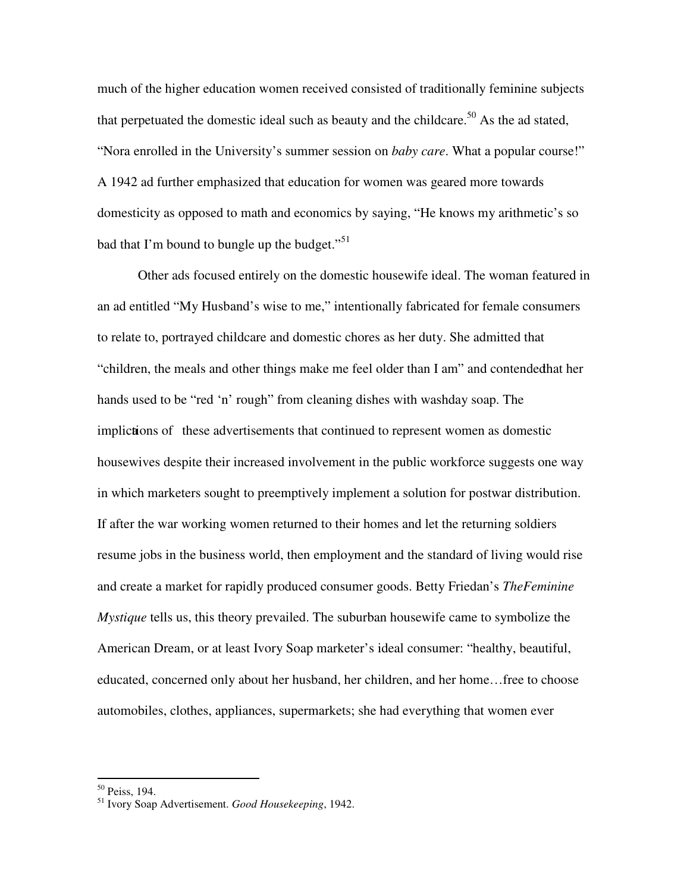much of the higher education women received consisted of traditionally feminine subjects that perpetuated the domestic ideal such as beauty and the childcare.<sup>50</sup> As the ad stated, "Nora enrolled in the University's summer session on *baby care*. What a popular course!" A 1942 ad further emphasized that education for women was geared more towards domesticity as opposed to math and economics by saying, "He knows my arithmetic's so bad that I'm bound to bungle up the budget."<sup>51</sup>

Other ads focused entirely on the domestic housewife ideal. The woman featured in an ad entitled "My Husband's wise to me," intentionally fabricated for female consumers to relate to, portrayed childcare and domestic chores as her duty. She admitted that "children, the meals and other things make me feel older than I am" and contended that her hands used to be "red 'n' rough" from cleaning dishes with washday soap. The implictions of these advertisements that continued to represent women as domestic housewives despite their increased involvement in the public workforce suggests one way in which marketers sought to preemptively implement a solution for postwar distribution. If after the war working women returned to their homes and let the returning soldiers resume jobs in the business world, then employment and the standard of living would rise and create a market for rapidly produced consumer goods. Betty Friedan's *The Feminine Mystique* tells us, this theory prevailed. The suburban housewife came to symbolize the American Dream, or at least Ivory Soap marketer's ideal consumer: "healthy, beautiful, educated, concerned only about her husband, her children, and her home…free to choose automobiles, clothes, appliances, supermarkets; she had everything that women ever

<sup>50</sup> Peiss, 194.

<sup>51</sup> Ivory Soap Advertisement. *Good Housekeeping*, 1942.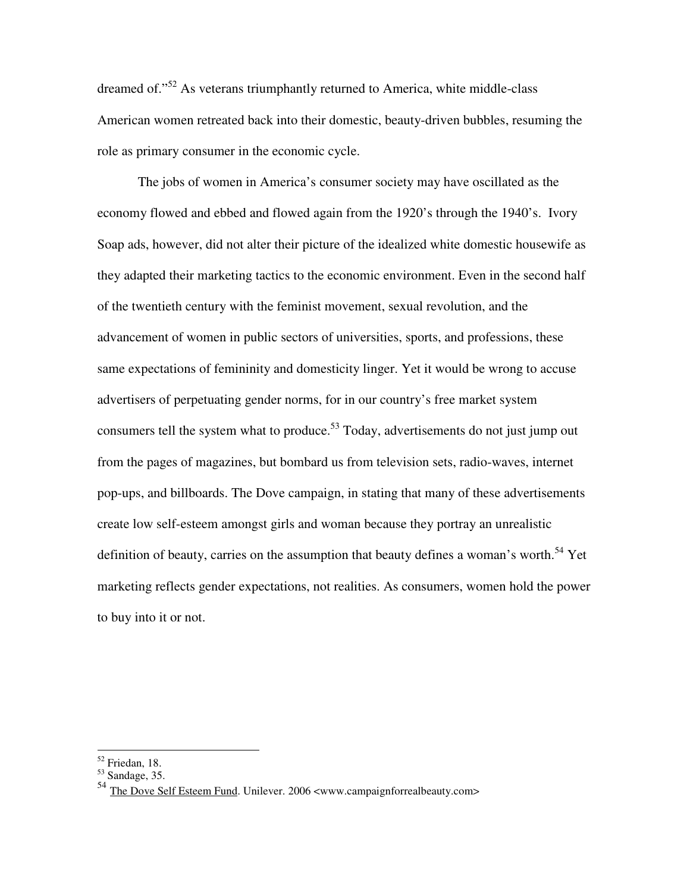dreamed of."<sup>52</sup> As veterans triumphantly returned to America, white middle-class American women retreated back into their domestic, beauty-driven bubbles, resuming the role as primary consumer in the economic cycle.

The jobs of women in America's consumer society may have oscillated as the economy flowed and ebbed and flowed again from the 1920's through the 1940's. Ivory Soap ads, however, did not alter their picture of the idealized white domestic housewife as they adapted their marketing tactics to the economic environment. Even in the second half of the twentieth century with the feminist movement, sexual revolution, and the advancement of women in public sectors of universities, sports, and professions, these same expectations of femininity and domesticity linger. Yet it would be wrong to accuse advertisers of perpetuating gender norms, for in our country's free market system consumers tell the system what to produce.<sup>53</sup> Today, advertisements do not just jump out from the pages of magazines, but bombard us from television sets, radio-waves, internet pop-ups, and billboards. The Dove campaign, in stating that many of these advertisements create low self-esteem amongst girls and woman because they portray an unrealistic definition of beauty, carries on the assumption that beauty defines a woman's worth.<sup>54</sup> Yet marketing reflects gender expectations, not realities. As consumers, women hold the power to buy into it or not.

<sup>52</sup> Friedan, 18.

 $53$  Sandage, 35.

<sup>&</sup>lt;sup>54</sup> The Dove Self Esteem Fund. Unilever. 2006 <www.campaignforrealbeauty.com>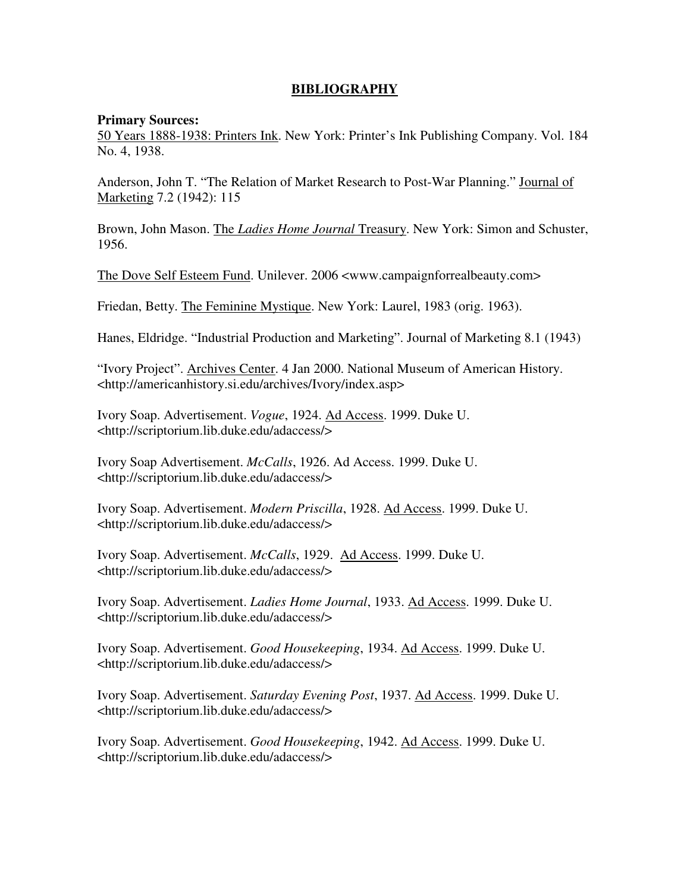# **BIBLIOGRAPHY**

#### **Primary Sources:**

50 Years 1888-1938: Printers Ink. New York: Printer's Ink Publishing Company. Vol. 184 No. 4, 1938.

Anderson, John T. "The Relation of Market Research to Post-War Planning." Journal of Marketing 7.2 (1942): 115

Brown, John Mason. The *Ladies Home Journal* Treasury. New York: Simon and Schuster, 1956.

The Dove Self Esteem Fund. Unilever. 2006 <www.campaignforrealbeauty.com>

Friedan, Betty. The Feminine Mystique. New York: Laurel, 1983 (orig. 1963).

Hanes, Eldridge. "Industrial Production and Marketing". Journal of Marketing 8.1 (1943)

"Ivory Project". Archives Center. 4 Jan 2000. National Museum of American History. <http://americanhistory.si.edu/archives/Ivory/index.asp>

Ivory Soap. Advertisement. *Vogue*, 1924. Ad Access. 1999. Duke U. <http://scriptorium.lib.duke.edu/adaccess/>

Ivory Soap Advertisement. *McCalls*, 1926. Ad Access. 1999. Duke U. <http://scriptorium.lib.duke.edu/adaccess/>

Ivory Soap. Advertisement. *Modern Priscilla*, 1928. Ad Access. 1999. Duke U. <http://scriptorium.lib.duke.edu/adaccess/>

Ivory Soap. Advertisement. *McCalls*, 1929. Ad Access. 1999. Duke U. <http://scriptorium.lib.duke.edu/adaccess/>

Ivory Soap. Advertisement. *Ladies Home Journal*, 1933. Ad Access. 1999. Duke U. <http://scriptorium.lib.duke.edu/adaccess/>

Ivory Soap. Advertisement. *Good Housekeeping*, 1934. Ad Access. 1999. Duke U. <http://scriptorium.lib.duke.edu/adaccess/>

Ivory Soap. Advertisement. *Saturday Evening Post*, 1937. Ad Access. 1999. Duke U. <http://scriptorium.lib.duke.edu/adaccess/>

Ivory Soap. Advertisement. *Good Housekeeping*, 1942. Ad Access. 1999. Duke U. <http://scriptorium.lib.duke.edu/adaccess/>